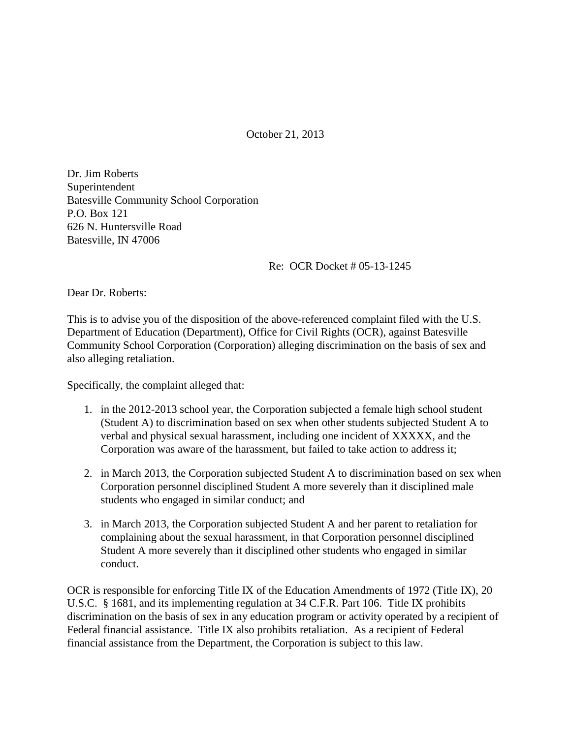October 21, 2013

Dr. Jim Roberts Superintendent Batesville Community School Corporation P.O. Box 121 626 N. Huntersville Road Batesville, IN 47006

Re: OCR Docket # 05-13-1245

Dear Dr. Roberts:

This is to advise you of the disposition of the above-referenced complaint filed with the U.S. Department of Education (Department), Office for Civil Rights (OCR), against Batesville Community School Corporation (Corporation) alleging discrimination on the basis of sex and also alleging retaliation.

Specifically, the complaint alleged that:

- 1. in the 2012-2013 school year, the Corporation subjected a female high school student (Student A) to discrimination based on sex when other students subjected Student A to verbal and physical sexual harassment, including one incident of XXXXX, and the Corporation was aware of the harassment, but failed to take action to address it;
- 2. in March 2013, the Corporation subjected Student A to discrimination based on sex when Corporation personnel disciplined Student A more severely than it disciplined male students who engaged in similar conduct; and
- 3. in March 2013, the Corporation subjected Student A and her parent to retaliation for complaining about the sexual harassment, in that Corporation personnel disciplined Student A more severely than it disciplined other students who engaged in similar conduct.

OCR is responsible for enforcing Title IX of the Education Amendments of 1972 (Title IX), 20 U.S.C. § 1681, and its implementing regulation at 34 C.F.R. Part 106. Title IX prohibits discrimination on the basis of sex in any education program or activity operated by a recipient of Federal financial assistance. Title IX also prohibits retaliation. As a recipient of Federal financial assistance from the Department, the Corporation is subject to this law.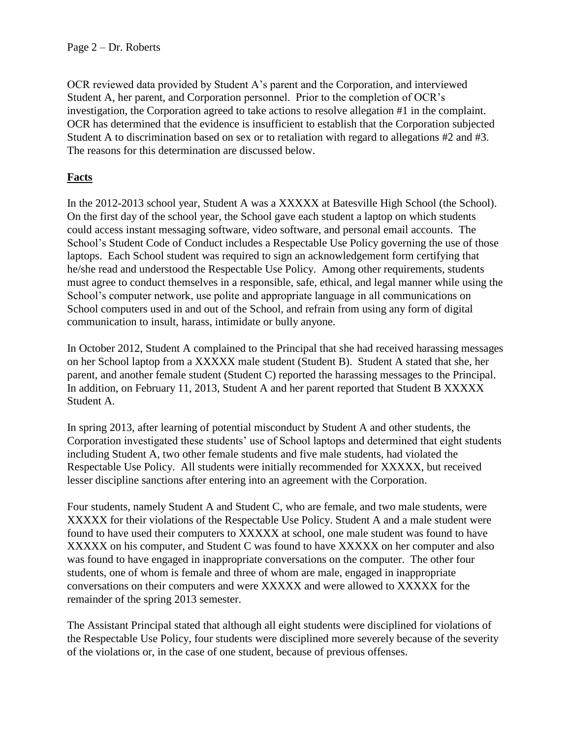OCR reviewed data provided by Student A's parent and the Corporation, and interviewed Student A, her parent, and Corporation personnel. Prior to the completion of OCR's investigation, the Corporation agreed to take actions to resolve allegation #1 in the complaint. OCR has determined that the evidence is insufficient to establish that the Corporation subjected Student A to discrimination based on sex or to retaliation with regard to allegations #2 and #3. The reasons for this determination are discussed below.

# **Facts**

In the 2012-2013 school year, Student A was a XXXXX at Batesville High School (the School). On the first day of the school year, the School gave each student a laptop on which students could access instant messaging software, video software, and personal email accounts. The School's Student Code of Conduct includes a Respectable Use Policy governing the use of those laptops. Each School student was required to sign an acknowledgement form certifying that he/she read and understood the Respectable Use Policy. Among other requirements, students must agree to conduct themselves in a responsible, safe, ethical, and legal manner while using the School's computer network, use polite and appropriate language in all communications on School computers used in and out of the School, and refrain from using any form of digital communication to insult, harass, intimidate or bully anyone.

In October 2012, Student A complained to the Principal that she had received harassing messages on her School laptop from a XXXXX male student (Student B). Student A stated that she, her parent, and another female student (Student C) reported the harassing messages to the Principal. In addition, on February 11, 2013, Student A and her parent reported that Student B XXXXX Student A.

In spring 2013, after learning of potential misconduct by Student A and other students, the Corporation investigated these students' use of School laptops and determined that eight students including Student A, two other female students and five male students, had violated the Respectable Use Policy. All students were initially recommended for XXXXX, but received lesser discipline sanctions after entering into an agreement with the Corporation.

Four students, namely Student A and Student C, who are female, and two male students, were XXXXX for their violations of the Respectable Use Policy. Student A and a male student were found to have used their computers to XXXXX at school, one male student was found to have XXXXX on his computer, and Student C was found to have XXXXX on her computer and also was found to have engaged in inappropriate conversations on the computer. The other four students, one of whom is female and three of whom are male, engaged in inappropriate conversations on their computers and were XXXXX and were allowed to XXXXX for the remainder of the spring 2013 semester.

The Assistant Principal stated that although all eight students were disciplined for violations of the Respectable Use Policy, four students were disciplined more severely because of the severity of the violations or, in the case of one student, because of previous offenses.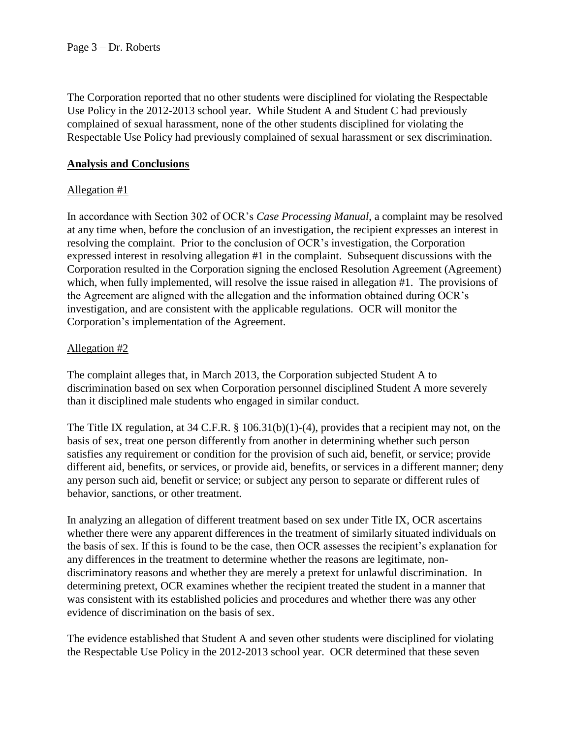The Corporation reported that no other students were disciplined for violating the Respectable Use Policy in the 2012-2013 school year. While Student A and Student C had previously complained of sexual harassment, none of the other students disciplined for violating the Respectable Use Policy had previously complained of sexual harassment or sex discrimination.

### **Analysis and Conclusions**

## Allegation #1

In accordance with Section 302 of OCR's *Case Processing Manual*, a complaint may be resolved at any time when, before the conclusion of an investigation, the recipient expresses an interest in resolving the complaint. Prior to the conclusion of OCR's investigation, the Corporation expressed interest in resolving allegation #1 in the complaint. Subsequent discussions with the Corporation resulted in the Corporation signing the enclosed Resolution Agreement (Agreement) which, when fully implemented, will resolve the issue raised in allegation #1. The provisions of the Agreement are aligned with the allegation and the information obtained during OCR's investigation, and are consistent with the applicable regulations. OCR will monitor the Corporation's implementation of the Agreement.

## Allegation #2

The complaint alleges that, in March 2013, the Corporation subjected Student A to discrimination based on sex when Corporation personnel disciplined Student A more severely than it disciplined male students who engaged in similar conduct.

The Title IX regulation, at 34 C.F.R. § 106.31(b)(1)-(4), provides that a recipient may not, on the basis of sex, treat one person differently from another in determining whether such person satisfies any requirement or condition for the provision of such aid, benefit, or service; provide different aid, benefits, or services, or provide aid, benefits, or services in a different manner; deny any person such aid, benefit or service; or subject any person to separate or different rules of behavior, sanctions, or other treatment.

In analyzing an allegation of different treatment based on sex under Title IX, OCR ascertains whether there were any apparent differences in the treatment of similarly situated individuals on the basis of sex. If this is found to be the case, then OCR assesses the recipient's explanation for any differences in the treatment to determine whether the reasons are legitimate, nondiscriminatory reasons and whether they are merely a pretext for unlawful discrimination. In determining pretext, OCR examines whether the recipient treated the student in a manner that was consistent with its established policies and procedures and whether there was any other evidence of discrimination on the basis of sex.

The evidence established that Student A and seven other students were disciplined for violating the Respectable Use Policy in the 2012-2013 school year. OCR determined that these seven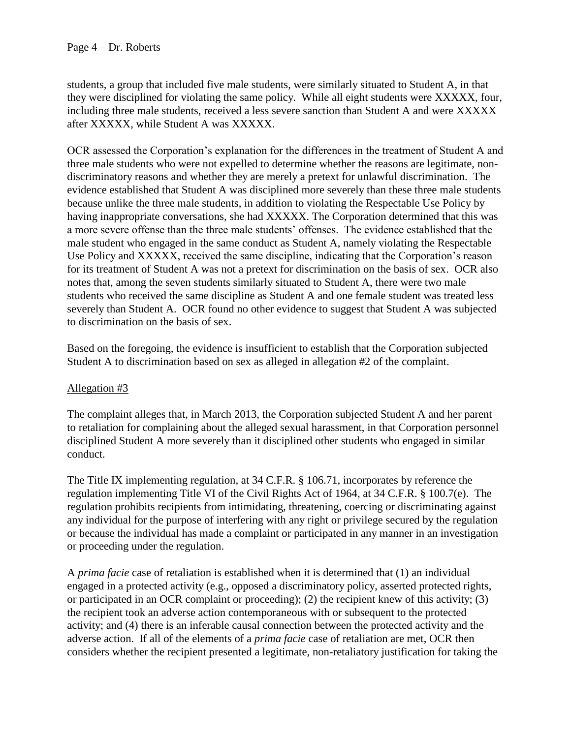students, a group that included five male students, were similarly situated to Student A, in that they were disciplined for violating the same policy. While all eight students were XXXXX, four, including three male students, received a less severe sanction than Student A and were XXXXX after XXXXX, while Student A was XXXXX.

OCR assessed the Corporation's explanation for the differences in the treatment of Student A and three male students who were not expelled to determine whether the reasons are legitimate, nondiscriminatory reasons and whether they are merely a pretext for unlawful discrimination. The evidence established that Student A was disciplined more severely than these three male students because unlike the three male students, in addition to violating the Respectable Use Policy by having inappropriate conversations, she had XXXXX. The Corporation determined that this was a more severe offense than the three male students' offenses. The evidence established that the male student who engaged in the same conduct as Student A, namely violating the Respectable Use Policy and XXXXX, received the same discipline, indicating that the Corporation's reason for its treatment of Student A was not a pretext for discrimination on the basis of sex. OCR also notes that, among the seven students similarly situated to Student A, there were two male students who received the same discipline as Student A and one female student was treated less severely than Student A. OCR found no other evidence to suggest that Student A was subjected to discrimination on the basis of sex.

Based on the foregoing, the evidence is insufficient to establish that the Corporation subjected Student A to discrimination based on sex as alleged in allegation #2 of the complaint.

#### Allegation #3

The complaint alleges that, in March 2013, the Corporation subjected Student A and her parent to retaliation for complaining about the alleged sexual harassment, in that Corporation personnel disciplined Student A more severely than it disciplined other students who engaged in similar conduct.

The Title IX implementing regulation, at 34 C.F.R. § 106.71, incorporates by reference the regulation implementing Title VI of the Civil Rights Act of 1964, at 34 C.F.R. § 100.7(e). The regulation prohibits recipients from intimidating, threatening, coercing or discriminating against any individual for the purpose of interfering with any right or privilege secured by the regulation or because the individual has made a complaint or participated in any manner in an investigation or proceeding under the regulation.

A *prima facie* case of retaliation is established when it is determined that (1) an individual engaged in a protected activity (e.g., opposed a discriminatory policy, asserted protected rights, or participated in an OCR complaint or proceeding); (2) the recipient knew of this activity; (3) the recipient took an adverse action contemporaneous with or subsequent to the protected activity; and (4) there is an inferable causal connection between the protected activity and the adverse action. If all of the elements of a *prima facie* case of retaliation are met, OCR then considers whether the recipient presented a legitimate, non-retaliatory justification for taking the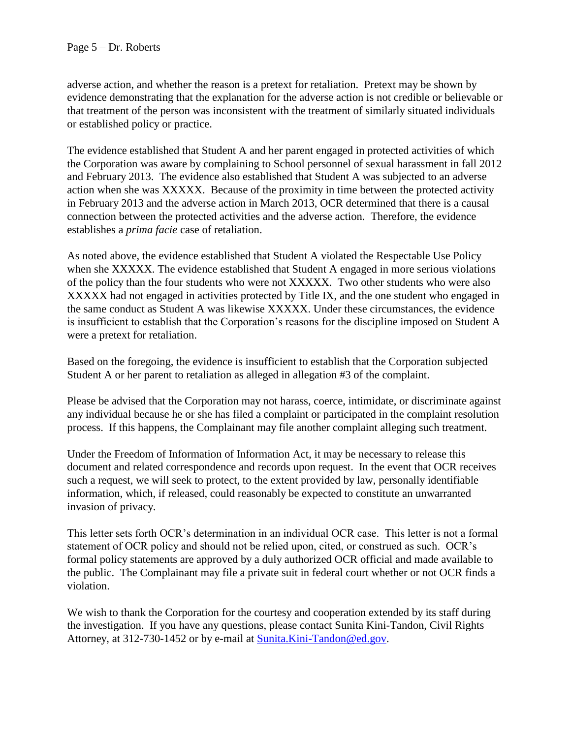adverse action, and whether the reason is a pretext for retaliation. Pretext may be shown by evidence demonstrating that the explanation for the adverse action is not credible or believable or that treatment of the person was inconsistent with the treatment of similarly situated individuals or established policy or practice.

The evidence established that Student A and her parent engaged in protected activities of which the Corporation was aware by complaining to School personnel of sexual harassment in fall 2012 and February 2013. The evidence also established that Student A was subjected to an adverse action when she was XXXXX. Because of the proximity in time between the protected activity in February 2013 and the adverse action in March 2013, OCR determined that there is a causal connection between the protected activities and the adverse action. Therefore, the evidence establishes a *prima facie* case of retaliation.

As noted above, the evidence established that Student A violated the Respectable Use Policy when she XXXXX. The evidence established that Student A engaged in more serious violations of the policy than the four students who were not XXXXX. Two other students who were also XXXXX had not engaged in activities protected by Title IX, and the one student who engaged in the same conduct as Student A was likewise XXXXX. Under these circumstances, the evidence is insufficient to establish that the Corporation's reasons for the discipline imposed on Student A were a pretext for retaliation.

Based on the foregoing, the evidence is insufficient to establish that the Corporation subjected Student A or her parent to retaliation as alleged in allegation #3 of the complaint.

Please be advised that the Corporation may not harass, coerce, intimidate, or discriminate against any individual because he or she has filed a complaint or participated in the complaint resolution process. If this happens, the Complainant may file another complaint alleging such treatment.

Under the Freedom of Information of Information Act, it may be necessary to release this document and related correspondence and records upon request. In the event that OCR receives such a request, we will seek to protect, to the extent provided by law, personally identifiable information, which, if released, could reasonably be expected to constitute an unwarranted invasion of privacy.

This letter sets forth OCR's determination in an individual OCR case. This letter is not a formal statement of OCR policy and should not be relied upon, cited, or construed as such. OCR's formal policy statements are approved by a duly authorized OCR official and made available to the public. The Complainant may file a private suit in federal court whether or not OCR finds a violation.

We wish to thank the Corporation for the courtesy and cooperation extended by its staff during the investigation. If you have any questions, please contact Sunita Kini-Tandon, Civil Rights Attorney, at 312-730-1452 or by e-mail at [Sunita.Kini-Tandon@ed.gov.](mailto:Sunita.Kini-Tandon@ed.gov)